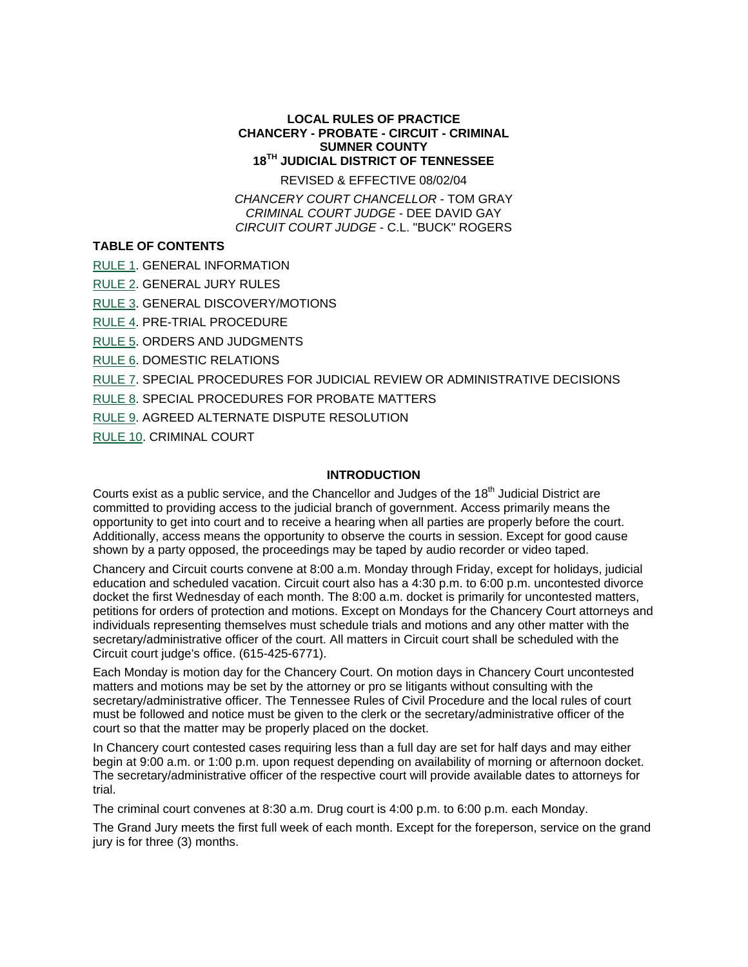### **LOCAL RULES OF PRACTICE CHANCERY - PROBATE - CIRCUIT - CRIMINAL SUMNER COUNTY 18TH JUDICIAL DISTRICT OF TENNESSEE**

REVISED & EFFECTIVE 08/02/04

*CHANCERY COURT CHANCELLOR* - TOM GRAY *CRIMINAL COURT JUDGE* - DEE DAVID GAY *CIRCUIT COURT JUDGE* - C.L. "BUCK" ROGERS

# **TABLE OF CONTENTS**

RULE 1. GENERAL INFORMATION

RULE 2. GENERAL JURY RULES

RULE 3. GENERAL DISCOVERY/MOTIONS

RULE 4. PRE-TRIAL PROCEDURE

RULE 5. ORDERS AND JUDGMENTS

RULE 6. DOMESTIC RELATIONS

RULE 7. SPECIAL PROCEDURES FOR JUDICIAL REVIEW OR ADMINISTRATIVE DECISIONS

RULE 8. SPECIAL PROCEDURES FOR PROBATE MATTERS

RULE 9. AGREED ALTERNATE DISPUTE RESOLUTION

RULE 10. CRIMINAL COURT

### **INTRODUCTION**

Courts exist as a public service, and the Chancellor and Judges of the 18<sup>th</sup> Judicial District are committed to providing access to the judicial branch of government. Access primarily means the opportunity to get into court and to receive a hearing when all parties are properly before the court. Additionally, access means the opportunity to observe the courts in session. Except for good cause shown by a party opposed, the proceedings may be taped by audio recorder or video taped.

Chancery and Circuit courts convene at 8:00 a.m. Monday through Friday, except for holidays, judicial education and scheduled vacation. Circuit court also has a 4:30 p.m. to 6:00 p.m. uncontested divorce docket the first Wednesday of each month. The 8:00 a.m. docket is primarily for uncontested matters, petitions for orders of protection and motions. Except on Mondays for the Chancery Court attorneys and individuals representing themselves must schedule trials and motions and any other matter with the secretary/administrative officer of the court. All matters in Circuit court shall be scheduled with the Circuit court judge's office. (615-425-6771).

Each Monday is motion day for the Chancery Court. On motion days in Chancery Court uncontested matters and motions may be set by the attorney or pro se litigants without consulting with the secretary/administrative officer. The Tennessee Rules of Civil Procedure and the local rules of court must be followed and notice must be given to the clerk or the secretary/administrative officer of the court so that the matter may be properly placed on the docket.

In Chancery court contested cases requiring less than a full day are set for half days and may either begin at 9:00 a.m. or 1:00 p.m. upon request depending on availability of morning or afternoon docket. The secretary/administrative officer of the respective court will provide available dates to attorneys for trial.

The criminal court convenes at 8:30 a.m. Drug court is 4:00 p.m. to 6:00 p.m. each Monday.

The Grand Jury meets the first full week of each month. Except for the foreperson, service on the grand jury is for three (3) months.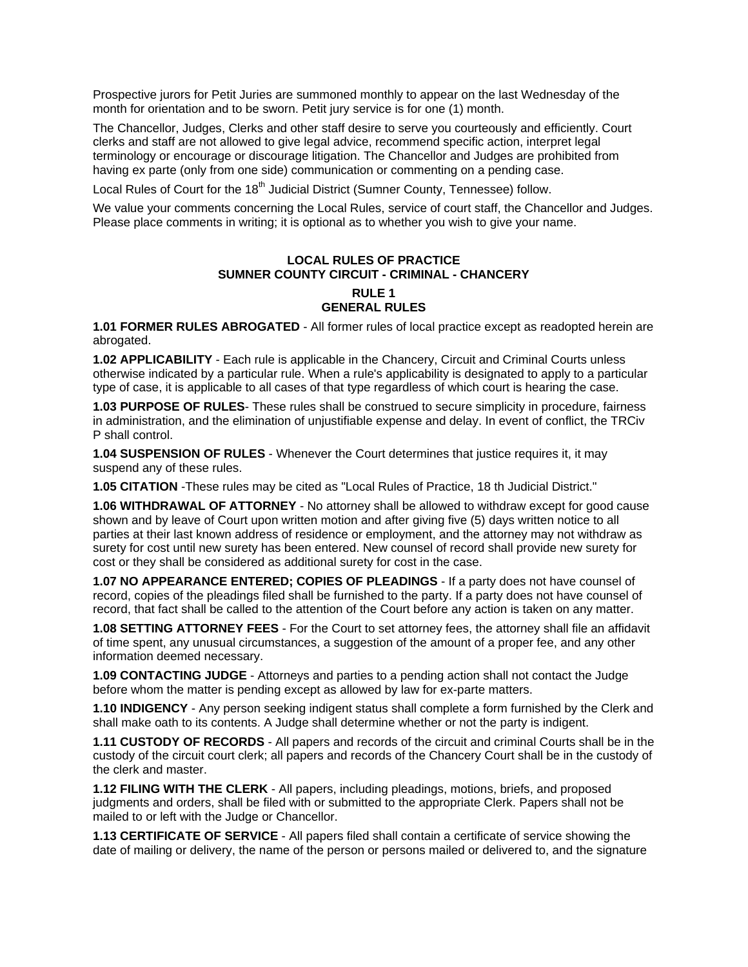Prospective jurors for Petit Juries are summoned monthly to appear on the last Wednesday of the month for orientation and to be sworn. Petit jury service is for one (1) month.

The Chancellor, Judges, Clerks and other staff desire to serve you courteously and efficiently. Court clerks and staff are not allowed to give legal advice, recommend specific action, interpret legal terminology or encourage or discourage litigation. The Chancellor and Judges are prohibited from having ex parte (only from one side) communication or commenting on a pending case.

Local Rules of Court for the 18<sup>th</sup> Judicial District (Sumner County, Tennessee) follow.

We value your comments concerning the Local Rules, service of court staff, the Chancellor and Judges. Please place comments in writing; it is optional as to whether you wish to give your name.

## **LOCAL RULES OF PRACTICE SUMNER COUNTY CIRCUIT - CRIMINAL - CHANCERY RULE 1 GENERAL RULES**

**1.01 FORMER RULES ABROGATED** - All former rules of local practice except as readopted herein are abrogated.

**1.02 APPLICABILITY** - Each rule is applicable in the Chancery, Circuit and Criminal Courts unless otherwise indicated by a particular rule. When a rule's applicability is designated to apply to a particular type of case, it is applicable to all cases of that type regardless of which court is hearing the case.

**1.03 PURPOSE OF RULES**- These rules shall be construed to secure simplicity in procedure, fairness in administration, and the elimination of unjustifiable expense and delay. In event of conflict, the TRCiv P shall control.

**1.04 SUSPENSION OF RULES** - Whenever the Court determines that justice requires it, it may suspend any of these rules.

**1.05 CITATION** -These rules may be cited as "Local Rules of Practice, 18 th Judicial District."

**1.06 WITHDRAWAL OF ATTORNEY** - No attorney shall be allowed to withdraw except for good cause shown and by leave of Court upon written motion and after giving five (5) days written notice to all parties at their last known address of residence or employment, and the attorney may not withdraw as surety for cost until new surety has been entered. New counsel of record shall provide new surety for cost or they shall be considered as additional surety for cost in the case.

**1.07 NO APPEARANCE ENTERED; COPIES OF PLEADINGS** - If a party does not have counsel of record, copies of the pleadings filed shall be furnished to the party. If a party does not have counsel of record, that fact shall be called to the attention of the Court before any action is taken on any matter.

**1.08 SETTING ATTORNEY FEES** - For the Court to set attorney fees, the attorney shall file an affidavit of time spent, any unusual circumstances, a suggestion of the amount of a proper fee, and any other information deemed necessary.

**1.09 CONTACTING JUDGE** - Attorneys and parties to a pending action shall not contact the Judge before whom the matter is pending except as allowed by law for ex-parte matters.

**1.10 INDIGENCY** - Any person seeking indigent status shall complete a form furnished by the Clerk and shall make oath to its contents. A Judge shall determine whether or not the party is indigent.

**1.11 CUSTODY OF RECORDS** - All papers and records of the circuit and criminal Courts shall be in the custody of the circuit court clerk; all papers and records of the Chancery Court shall be in the custody of the clerk and master.

**1.12 FILING WITH THE CLERK** - All papers, including pleadings, motions, briefs, and proposed judgments and orders, shall be filed with or submitted to the appropriate Clerk. Papers shall not be mailed to or left with the Judge or Chancellor.

**1.13 CERTIFICATE OF SERVICE** - All papers filed shall contain a certificate of service showing the date of mailing or delivery, the name of the person or persons mailed or delivered to, and the signature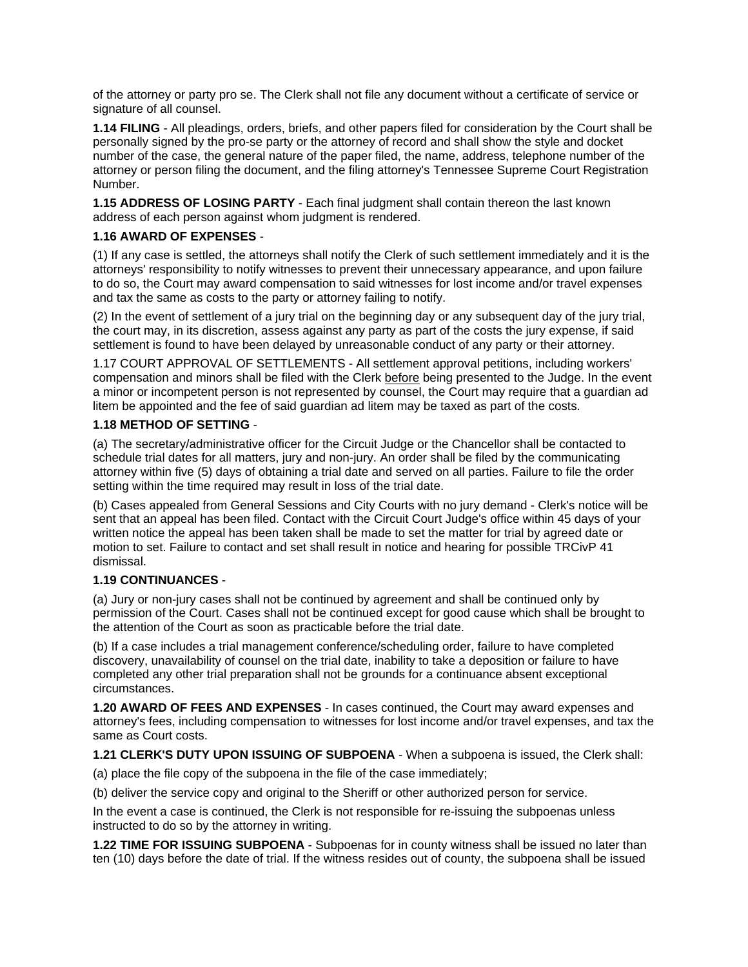of the attorney or party pro se. The Clerk shall not file any document without a certificate of service or signature of all counsel.

**1.14 FILING** - All pleadings, orders, briefs, and other papers filed for consideration by the Court shall be personally signed by the pro-se party or the attorney of record and shall show the style and docket number of the case, the general nature of the paper filed, the name, address, telephone number of the attorney or person filing the document, and the filing attorney's Tennessee Supreme Court Registration Number.

**1.15 ADDRESS OF LOSING PARTY** - Each final judgment shall contain thereon the last known address of each person against whom judgment is rendered.

## **1.16 AWARD OF EXPENSES** -

(1) If any case is settled, the attorneys shall notify the Clerk of such settlement immediately and it is the attorneys' responsibility to notify witnesses to prevent their unnecessary appearance, and upon failure to do so, the Court may award compensation to said witnesses for lost income and/or travel expenses and tax the same as costs to the party or attorney failing to notify.

(2) In the event of settlement of a jury trial on the beginning day or any subsequent day of the jury trial, the court may, in its discretion, assess against any party as part of the costs the jury expense, if said settlement is found to have been delayed by unreasonable conduct of any party or their attorney.

1.17 COURT APPROVAL OF SETTLEMENTS - All settlement approval petitions, including workers' compensation and minors shall be filed with the Clerk before being presented to the Judge. In the event a minor or incompetent person is not represented by counsel, the Court may require that a guardian ad litem be appointed and the fee of said guardian ad litem may be taxed as part of the costs.

# **1.18 METHOD OF SETTING** -

(a) The secretary/administrative officer for the Circuit Judge or the Chancellor shall be contacted to schedule trial dates for all matters, jury and non-jury. An order shall be filed by the communicating attorney within five (5) days of obtaining a trial date and served on all parties. Failure to file the order setting within the time required may result in loss of the trial date.

(b) Cases appealed from General Sessions and City Courts with no jury demand - Clerk's notice will be sent that an appeal has been filed. Contact with the Circuit Court Judge's office within 45 days of your written notice the appeal has been taken shall be made to set the matter for trial by agreed date or motion to set. Failure to contact and set shall result in notice and hearing for possible TRCivP 41 dismissal.

### **1.19 CONTINUANCES** -

(a) Jury or non-jury cases shall not be continued by agreement and shall be continued only by permission of the Court. Cases shall not be continued except for good cause which shall be brought to the attention of the Court as soon as practicable before the trial date.

(b) If a case includes a trial management conference/scheduling order, failure to have completed discovery, unavailability of counsel on the trial date, inability to take a deposition or failure to have completed any other trial preparation shall not be grounds for a continuance absent exceptional circumstances.

**1.20 AWARD OF FEES AND EXPENSES** - In cases continued, the Court may award expenses and attorney's fees, including compensation to witnesses for lost income and/or travel expenses, and tax the same as Court costs.

**1.21 CLERK'S DUTY UPON ISSUING OF SUBPOENA** - When a subpoena is issued, the Clerk shall:

(a) place the file copy of the subpoena in the file of the case immediately;

(b) deliver the service copy and original to the Sheriff or other authorized person for service.

In the event a case is continued, the Clerk is not responsible for re-issuing the subpoenas unless instructed to do so by the attorney in writing.

**1.22 TIME FOR ISSUING SUBPOENA** - Subpoenas for in county witness shall be issued no later than ten (10) days before the date of trial. If the witness resides out of county, the subpoena shall be issued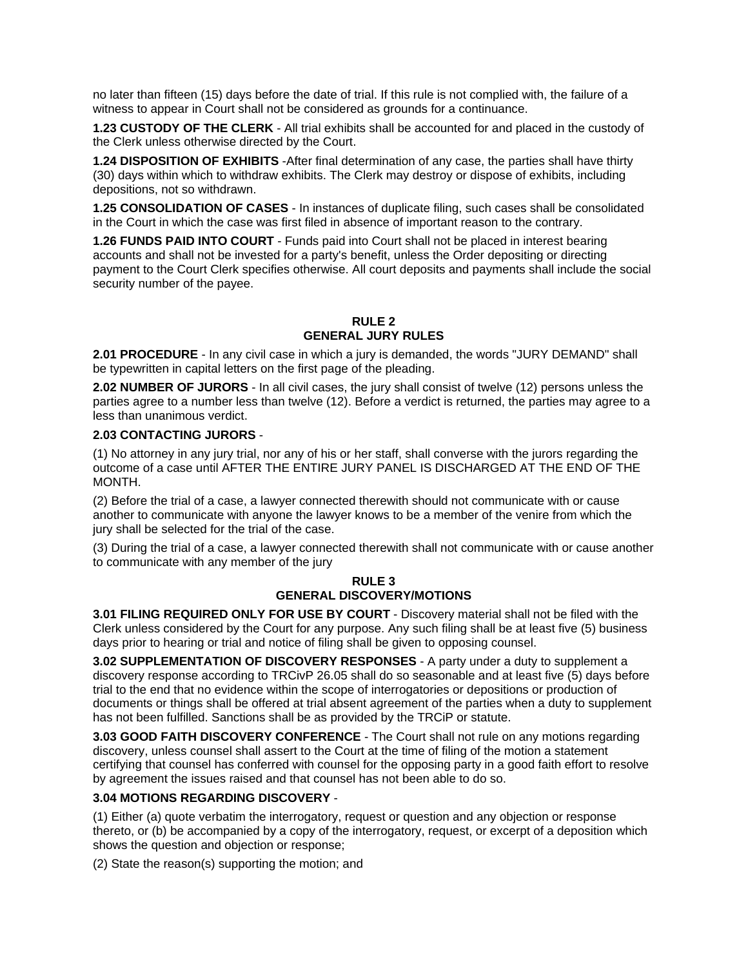no later than fifteen (15) days before the date of trial. If this rule is not complied with, the failure of a witness to appear in Court shall not be considered as grounds for a continuance.

**1.23 CUSTODY OF THE CLERK** - All trial exhibits shall be accounted for and placed in the custody of the Clerk unless otherwise directed by the Court.

**1.24 DISPOSITION OF EXHIBITS** -After final determination of any case, the parties shall have thirty (30) days within which to withdraw exhibits. The Clerk may destroy or dispose of exhibits, including depositions, not so withdrawn.

**1.25 CONSOLIDATION OF CASES** - In instances of duplicate filing, such cases shall be consolidated in the Court in which the case was first filed in absence of important reason to the contrary.

**1.26 FUNDS PAID INTO COURT** - Funds paid into Court shall not be placed in interest bearing accounts and shall not be invested for a party's benefit, unless the Order depositing or directing payment to the Court Clerk specifies otherwise. All court deposits and payments shall include the social security number of the payee.

### **RULE 2 GENERAL JURY RULES**

**2.01 PROCEDURE** - In any civil case in which a jury is demanded, the words "JURY DEMAND" shall be typewritten in capital letters on the first page of the pleading.

**2.02 NUMBER OF JURORS** - In all civil cases, the jury shall consist of twelve (12) persons unless the parties agree to a number less than twelve (12). Before a verdict is returned, the parties may agree to a less than unanimous verdict.

### **2.03 CONTACTING JURORS** -

(1) No attorney in any jury trial, nor any of his or her staff, shall converse with the jurors regarding the outcome of a case until AFTER THE ENTIRE JURY PANEL IS DISCHARGED AT THE END OF THE MONTH.

(2) Before the trial of a case, a lawyer connected therewith should not communicate with or cause another to communicate with anyone the lawyer knows to be a member of the venire from which the jury shall be selected for the trial of the case.

(3) During the trial of a case, a lawyer connected therewith shall not communicate with or cause another to communicate with any member of the jury

### **RULE 3 GENERAL DISCOVERY/MOTIONS**

**3.01 FILING REQUIRED ONLY FOR USE BY COURT** - Discovery material shall not be filed with the Clerk unless considered by the Court for any purpose. Any such filing shall be at least five (5) business days prior to hearing or trial and notice of filing shall be given to opposing counsel.

**3.02 SUPPLEMENTATION OF DISCOVERY RESPONSES** - A party under a duty to supplement a discovery response according to TRCivP 26.05 shall do so seasonable and at least five (5) days before trial to the end that no evidence within the scope of interrogatories or depositions or production of documents or things shall be offered at trial absent agreement of the parties when a duty to supplement has not been fulfilled. Sanctions shall be as provided by the TRCiP or statute.

**3.03 GOOD FAITH DISCOVERY CONFERENCE** - The Court shall not rule on any motions regarding discovery, unless counsel shall assert to the Court at the time of filing of the motion a statement certifying that counsel has conferred with counsel for the opposing party in a good faith effort to resolve by agreement the issues raised and that counsel has not been able to do so.

# **3.04 MOTIONS REGARDING DISCOVERY** -

(1) Either (a) quote verbatim the interrogatory, request or question and any objection or response thereto, or (b) be accompanied by a copy of the interrogatory, request, or excerpt of a deposition which shows the question and objection or response;

(2) State the reason(s) supporting the motion; and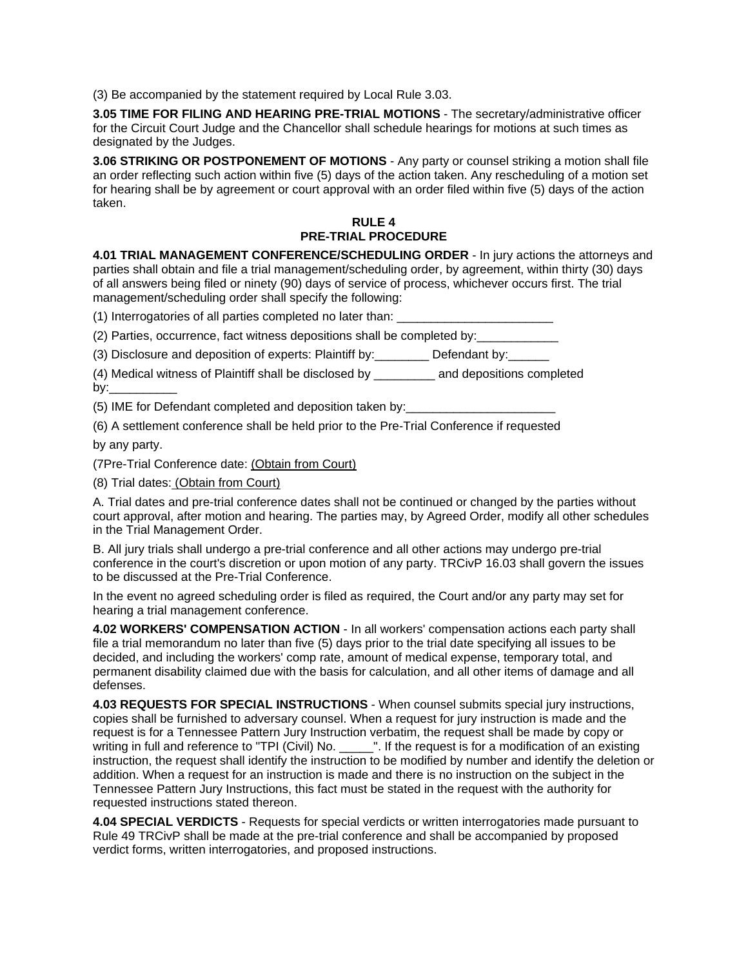(3) Be accompanied by the statement required by Local Rule 3.03.

**3.05 TIME FOR FILING AND HEARING PRE-TRIAL MOTIONS** - The secretary/administrative officer for the Circuit Court Judge and the Chancellor shall schedule hearings for motions at such times as designated by the Judges.

**3.06 STRIKING OR POSTPONEMENT OF MOTIONS** - Any party or counsel striking a motion shall file an order reflecting such action within five (5) days of the action taken. Any rescheduling of a motion set for hearing shall be by agreement or court approval with an order filed within five (5) days of the action taken.

# **RULE 4 PRE-TRIAL PROCEDURE**

**4.01 TRIAL MANAGEMENT CONFERENCE/SCHEDULING ORDER** - In jury actions the attorneys and parties shall obtain and file a trial management/scheduling order, by agreement, within thirty (30) days of all answers being filed or ninety (90) days of service of process, whichever occurs first. The trial management/scheduling order shall specify the following:

(1) Interrogatories of all parties completed no later than:

(2) Parties, occurrence, fact witness depositions shall be completed by:

(3) Disclosure and deposition of experts: Plaintiff by:\_\_\_\_\_\_\_\_ Defendant by:\_\_\_\_\_\_

(4) Medical witness of Plaintiff shall be disclosed by \_\_\_\_\_\_\_\_\_ and depositions completed by: $\overline{\phantom{a}}$ 

(5) IME for Defendant completed and deposition taken by:

(6) A settlement conference shall be held prior to the Pre-Trial Conference if requested

by any party.

(7Pre-Trial Conference date: (Obtain from Court)

(8) Trial dates: (Obtain from Court)

A. Trial dates and pre-trial conference dates shall not be continued or changed by the parties without court approval, after motion and hearing. The parties may, by Agreed Order, modify all other schedules in the Trial Management Order.

B. All jury trials shall undergo a pre-trial conference and all other actions may undergo pre-trial conference in the court's discretion or upon motion of any party. TRCivP 16.03 shall govern the issues to be discussed at the Pre-Trial Conference.

In the event no agreed scheduling order is filed as required, the Court and/or any party may set for hearing a trial management conference.

**4.02 WORKERS' COMPENSATION ACTION** - In all workers' compensation actions each party shall file a trial memorandum no later than five (5) days prior to the trial date specifying all issues to be decided, and including the workers' comp rate, amount of medical expense, temporary total, and permanent disability claimed due with the basis for calculation, and all other items of damage and all defenses.

**4.03 REQUESTS FOR SPECIAL INSTRUCTIONS** - When counsel submits special jury instructions, copies shall be furnished to adversary counsel. When a request for jury instruction is made and the request is for a Tennessee Pattern Jury Instruction verbatim, the request shall be made by copy or writing in full and reference to "TPI (Civil) No. \_\_\_\_\_". If the request is for a modification of an existing instruction, the request shall identify the instruction to be modified by number and identify the deletion or addition. When a request for an instruction is made and there is no instruction on the subject in the Tennessee Pattern Jury Instructions, this fact must be stated in the request with the authority for requested instructions stated thereon.

**4.04 SPECIAL VERDICTS** - Requests for special verdicts or written interrogatories made pursuant to Rule 49 TRCivP shall be made at the pre-trial conference and shall be accompanied by proposed verdict forms, written interrogatories, and proposed instructions.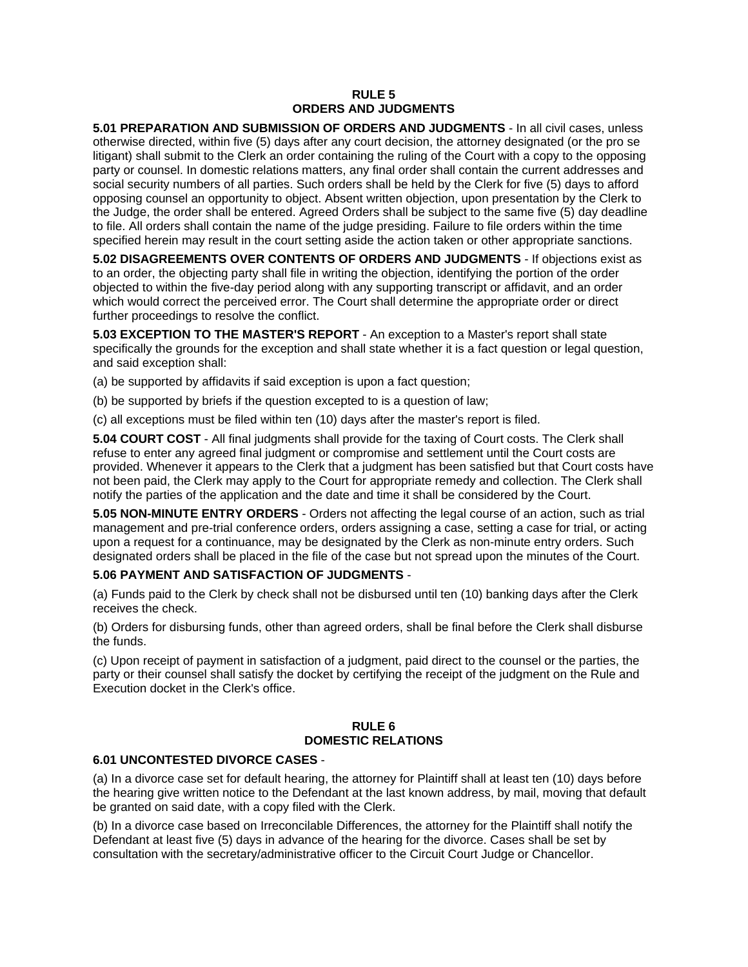# **RULE 5 ORDERS AND JUDGMENTS**

**5.01 PREPARATION AND SUBMISSION OF ORDERS AND JUDGMENTS** - In all civil cases, unless otherwise directed, within five (5) days after any court decision, the attorney designated (or the pro se litigant) shall submit to the Clerk an order containing the ruling of the Court with a copy to the opposing party or counsel. In domestic relations matters, any final order shall contain the current addresses and social security numbers of all parties. Such orders shall be held by the Clerk for five (5) days to afford opposing counsel an opportunity to object. Absent written objection, upon presentation by the Clerk to the Judge, the order shall be entered. Agreed Orders shall be subject to the same five (5) day deadline to file. All orders shall contain the name of the judge presiding. Failure to file orders within the time specified herein may result in the court setting aside the action taken or other appropriate sanctions.

**5.02 DISAGREEMENTS OVER CONTENTS OF ORDERS AND JUDGMENTS** - If objections exist as to an order, the objecting party shall file in writing the objection, identifying the portion of the order objected to within the five-day period along with any supporting transcript or affidavit, and an order which would correct the perceived error. The Court shall determine the appropriate order or direct further proceedings to resolve the conflict.

**5.03 EXCEPTION TO THE MASTER'S REPORT** - An exception to a Master's report shall state specifically the grounds for the exception and shall state whether it is a fact question or legal question, and said exception shall:

(a) be supported by affidavits if said exception is upon a fact question;

(b) be supported by briefs if the question excepted to is a question of law;

(c) all exceptions must be filed within ten (10) days after the master's report is filed.

**5.04 COURT COST** - All final judgments shall provide for the taxing of Court costs. The Clerk shall refuse to enter any agreed final judgment or compromise and settlement until the Court costs are provided. Whenever it appears to the Clerk that a judgment has been satisfied but that Court costs have not been paid, the Clerk may apply to the Court for appropriate remedy and collection. The Clerk shall notify the parties of the application and the date and time it shall be considered by the Court.

**5.05 NON-MINUTE ENTRY ORDERS** - Orders not affecting the legal course of an action, such as trial management and pre-trial conference orders, orders assigning a case, setting a case for trial, or acting upon a request for a continuance, may be designated by the Clerk as non-minute entry orders. Such designated orders shall be placed in the file of the case but not spread upon the minutes of the Court.

### **5.06 PAYMENT AND SATISFACTION OF JUDGMENTS** -

(a) Funds paid to the Clerk by check shall not be disbursed until ten (10) banking days after the Clerk receives the check.

(b) Orders for disbursing funds, other than agreed orders, shall be final before the Clerk shall disburse the funds.

(c) Upon receipt of payment in satisfaction of a judgment, paid direct to the counsel or the parties, the party or their counsel shall satisfy the docket by certifying the receipt of the judgment on the Rule and Execution docket in the Clerk's office.

# **RULE 6 DOMESTIC RELATIONS**

### **6.01 UNCONTESTED DIVORCE CASES** -

(a) In a divorce case set for default hearing, the attorney for Plaintiff shall at least ten (10) days before the hearing give written notice to the Defendant at the last known address, by mail, moving that default be granted on said date, with a copy filed with the Clerk.

(b) In a divorce case based on Irreconcilable Differences, the attorney for the Plaintiff shall notify the Defendant at least five (5) days in advance of the hearing for the divorce. Cases shall be set by consultation with the secretary/administrative officer to the Circuit Court Judge or Chancellor.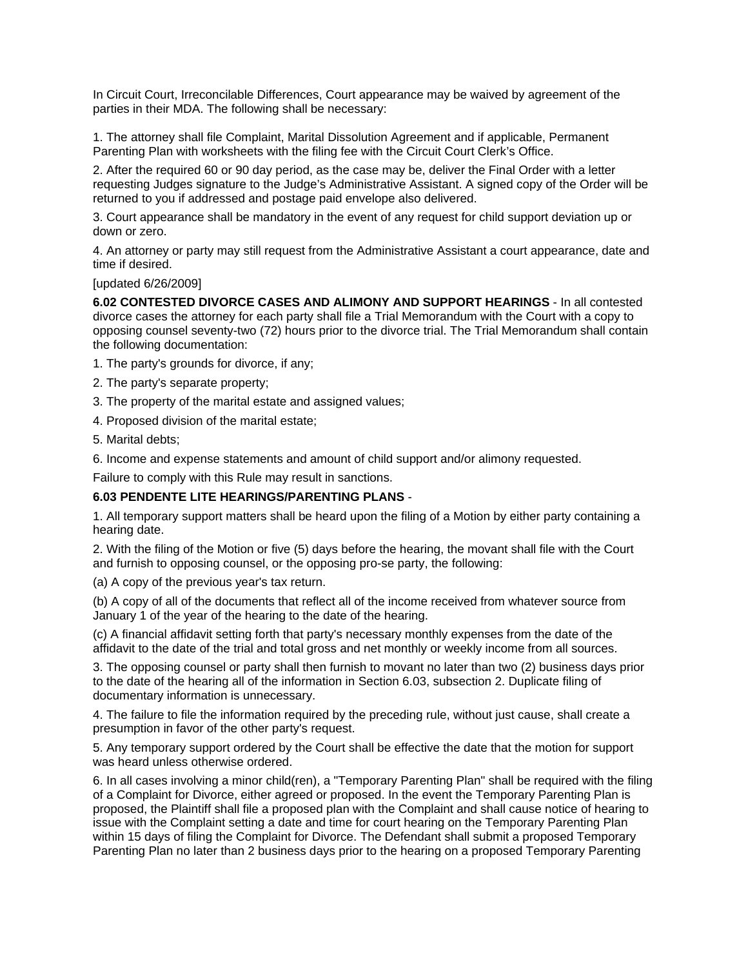In Circuit Court, Irreconcilable Differences, Court appearance may be waived by agreement of the parties in their MDA. The following shall be necessary:

1. The attorney shall file Complaint, Marital Dissolution Agreement and if applicable, Permanent Parenting Plan with worksheets with the filing fee with the Circuit Court Clerk's Office.

2. After the required 60 or 90 day period, as the case may be, deliver the Final Order with a letter requesting Judges signature to the Judge's Administrative Assistant. A signed copy of the Order will be returned to you if addressed and postage paid envelope also delivered.

3. Court appearance shall be mandatory in the event of any request for child support deviation up or down or zero.

4. An attorney or party may still request from the Administrative Assistant a court appearance, date and time if desired.

[updated 6/26/2009]

**6.02 CONTESTED DIVORCE CASES AND ALIMONY AND SUPPORT HEARINGS** - In all contested divorce cases the attorney for each party shall file a Trial Memorandum with the Court with a copy to opposing counsel seventy-two (72) hours prior to the divorce trial. The Trial Memorandum shall contain the following documentation:

- 1. The party's grounds for divorce, if any;
- 2. The party's separate property;
- 3. The property of the marital estate and assigned values;
- 4. Proposed division of the marital estate;
- 5. Marital debts;

6. Income and expense statements and amount of child support and/or alimony requested.

Failure to comply with this Rule may result in sanctions.

### **6.03 PENDENTE LITE HEARINGS/PARENTING PLANS** -

1. All temporary support matters shall be heard upon the filing of a Motion by either party containing a hearing date.

2. With the filing of the Motion or five (5) days before the hearing, the movant shall file with the Court and furnish to opposing counsel, or the opposing pro-se party, the following:

(a) A copy of the previous year's tax return.

(b) A copy of all of the documents that reflect all of the income received from whatever source from January 1 of the year of the hearing to the date of the hearing.

(c) A financial affidavit setting forth that party's necessary monthly expenses from the date of the affidavit to the date of the trial and total gross and net monthly or weekly income from all sources.

3. The opposing counsel or party shall then furnish to movant no later than two (2) business days prior to the date of the hearing all of the information in Section 6.03, subsection 2. Duplicate filing of documentary information is unnecessary.

4. The failure to file the information required by the preceding rule, without just cause, shall create a presumption in favor of the other party's request.

5. Any temporary support ordered by the Court shall be effective the date that the motion for support was heard unless otherwise ordered.

6. In all cases involving a minor child(ren), a "Temporary Parenting Plan" shall be required with the filing of a Complaint for Divorce, either agreed or proposed. In the event the Temporary Parenting Plan is proposed, the Plaintiff shall file a proposed plan with the Complaint and shall cause notice of hearing to issue with the Complaint setting a date and time for court hearing on the Temporary Parenting Plan within 15 days of filing the Complaint for Divorce. The Defendant shall submit a proposed Temporary Parenting Plan no later than 2 business days prior to the hearing on a proposed Temporary Parenting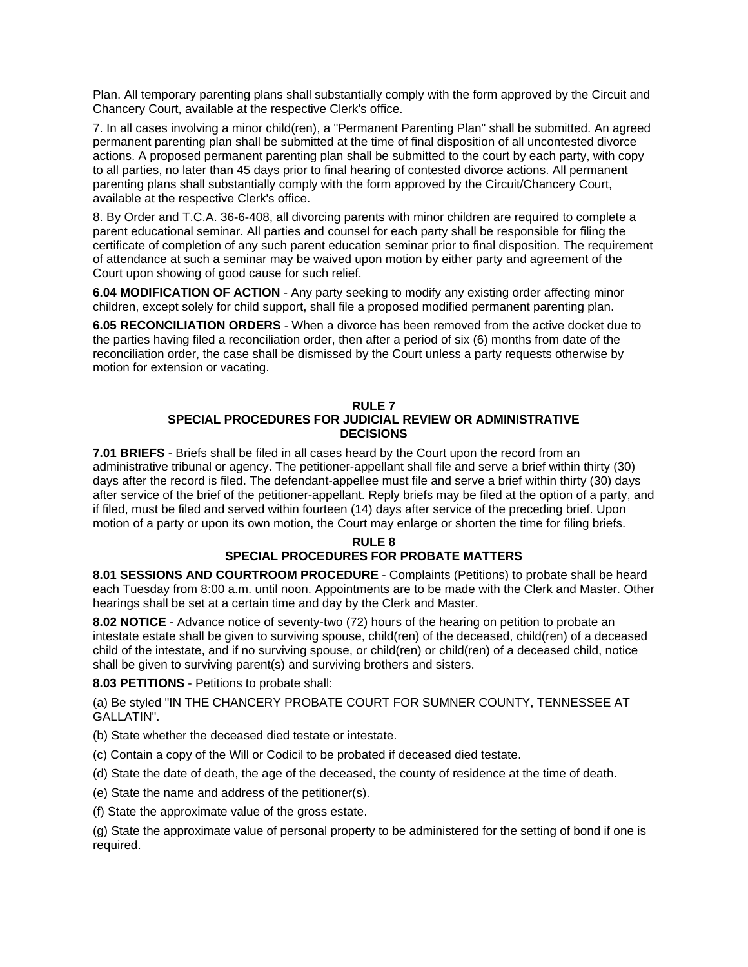Plan. All temporary parenting plans shall substantially comply with the form approved by the Circuit and Chancery Court, available at the respective Clerk's office.

7. In all cases involving a minor child(ren), a "Permanent Parenting Plan" shall be submitted. An agreed permanent parenting plan shall be submitted at the time of final disposition of all uncontested divorce actions. A proposed permanent parenting plan shall be submitted to the court by each party, with copy to all parties, no later than 45 days prior to final hearing of contested divorce actions. All permanent parenting plans shall substantially comply with the form approved by the Circuit/Chancery Court, available at the respective Clerk's office.

8. By Order and T.C.A. 36-6-408, all divorcing parents with minor children are required to complete a parent educational seminar. All parties and counsel for each party shall be responsible for filing the certificate of completion of any such parent education seminar prior to final disposition. The requirement of attendance at such a seminar may be waived upon motion by either party and agreement of the Court upon showing of good cause for such relief.

**6.04 MODIFICATION OF ACTION** - Any party seeking to modify any existing order affecting minor children, except solely for child support, shall file a proposed modified permanent parenting plan.

**6.05 RECONCILIATION ORDERS** - When a divorce has been removed from the active docket due to the parties having filed a reconciliation order, then after a period of six (6) months from date of the reconciliation order, the case shall be dismissed by the Court unless a party requests otherwise by motion for extension or vacating.

#### **RULE 7 SPECIAL PROCEDURES FOR JUDICIAL REVIEW OR ADMINISTRATIVE DECISIONS**

**7.01 BRIEFS** - Briefs shall be filed in all cases heard by the Court upon the record from an administrative tribunal or agency. The petitioner-appellant shall file and serve a brief within thirty (30) days after the record is filed. The defendant-appellee must file and serve a brief within thirty (30) days after service of the brief of the petitioner-appellant. Reply briefs may be filed at the option of a party, and if filed, must be filed and served within fourteen (14) days after service of the preceding brief. Upon motion of a party or upon its own motion, the Court may enlarge or shorten the time for filing briefs.

## **RULE 8 SPECIAL PROCEDURES FOR PROBATE MATTERS**

**8.01 SESSIONS AND COURTROOM PROCEDURE** - Complaints (Petitions) to probate shall be heard each Tuesday from 8:00 a.m. until noon. Appointments are to be made with the Clerk and Master. Other hearings shall be set at a certain time and day by the Clerk and Master.

**8.02 NOTICE** - Advance notice of seventy-two (72) hours of the hearing on petition to probate an intestate estate shall be given to surviving spouse, child(ren) of the deceased, child(ren) of a deceased child of the intestate, and if no surviving spouse, or child(ren) or child(ren) of a deceased child, notice shall be given to surviving parent(s) and surviving brothers and sisters.

### **8.03 PETITIONS** - Petitions to probate shall:

(a) Be styled "IN THE CHANCERY PROBATE COURT FOR SUMNER COUNTY, TENNESSEE AT GALLATIN".

(b) State whether the deceased died testate or intestate.

(c) Contain a copy of the Will or Codicil to be probated if deceased died testate.

(d) State the date of death, the age of the deceased, the county of residence at the time of death.

(e) State the name and address of the petitioner(s).

(f) State the approximate value of the gross estate.

(g) State the approximate value of personal property to be administered for the setting of bond if one is required.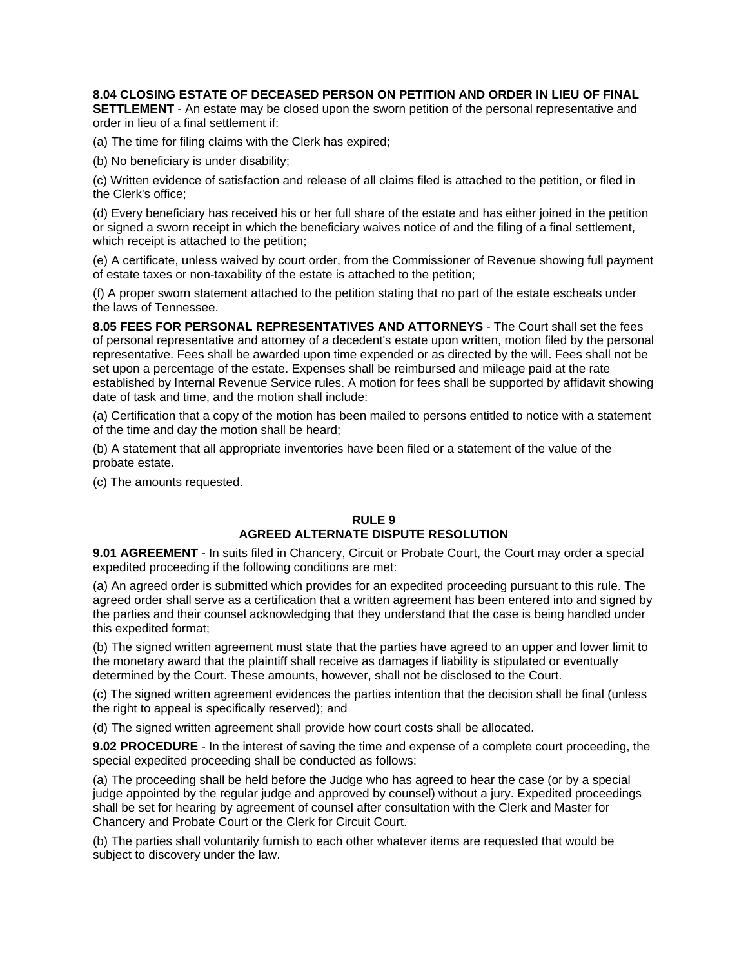# **8.04 CLOSING ESTATE OF DECEASED PERSON ON PETITION AND ORDER IN LIEU OF FINAL**

**SETTLEMENT** - An estate may be closed upon the sworn petition of the personal representative and order in lieu of a final settlement if:

(a) The time for filing claims with the Clerk has expired;

(b) No beneficiary is under disability;

(c) Written evidence of satisfaction and release of all claims filed is attached to the petition, or filed in the Clerk's office;

(d) Every beneficiary has received his or her full share of the estate and has either joined in the petition or signed a sworn receipt in which the beneficiary waives notice of and the filing of a final settlement, which receipt is attached to the petition;

(e) A certificate, unless waived by court order, from the Commissioner of Revenue showing full payment of estate taxes or non-taxability of the estate is attached to the petition;

(f) A proper sworn statement attached to the petition stating that no part of the estate escheats under the laws of Tennessee.

**8.05 FEES FOR PERSONAL REPRESENTATIVES AND ATTORNEYS** - The Court shall set the fees of personal representative and attorney of a decedent's estate upon written, motion filed by the personal representative. Fees shall be awarded upon time expended or as directed by the will. Fees shall not be set upon a percentage of the estate. Expenses shall be reimbursed and mileage paid at the rate established by Internal Revenue Service rules. A motion for fees shall be supported by affidavit showing date of task and time, and the motion shall include:

(a) Certification that a copy of the motion has been mailed to persons entitled to notice with a statement of the time and day the motion shall be heard;

(b) A statement that all appropriate inventories have been filed or a statement of the value of the probate estate.

(c) The amounts requested.

### **RULE 9 AGREED ALTERNATE DISPUTE RESOLUTION**

**9.01 AGREEMENT** - In suits filed in Chancery, Circuit or Probate Court, the Court may order a special expedited proceeding if the following conditions are met:

(a) An agreed order is submitted which provides for an expedited proceeding pursuant to this rule. The agreed order shall serve as a certification that a written agreement has been entered into and signed by the parties and their counsel acknowledging that they understand that the case is being handled under this expedited format;

(b) The signed written agreement must state that the parties have agreed to an upper and lower limit to the monetary award that the plaintiff shall receive as damages if liability is stipulated or eventually determined by the Court. These amounts, however, shall not be disclosed to the Court.

(c) The signed written agreement evidences the parties intention that the decision shall be final (unless the right to appeal is specifically reserved); and

(d) The signed written agreement shall provide how court costs shall be allocated.

**9.02 PROCEDURE** - In the interest of saving the time and expense of a complete court proceeding, the special expedited proceeding shall be conducted as follows:

(a) The proceeding shall be held before the Judge who has agreed to hear the case (or by a special judge appointed by the regular judge and approved by counsel) without a jury. Expedited proceedings shall be set for hearing by agreement of counsel after consultation with the Clerk and Master for Chancery and Probate Court or the Clerk for Circuit Court.

(b) The parties shall voluntarily furnish to each other whatever items are requested that would be subject to discovery under the law.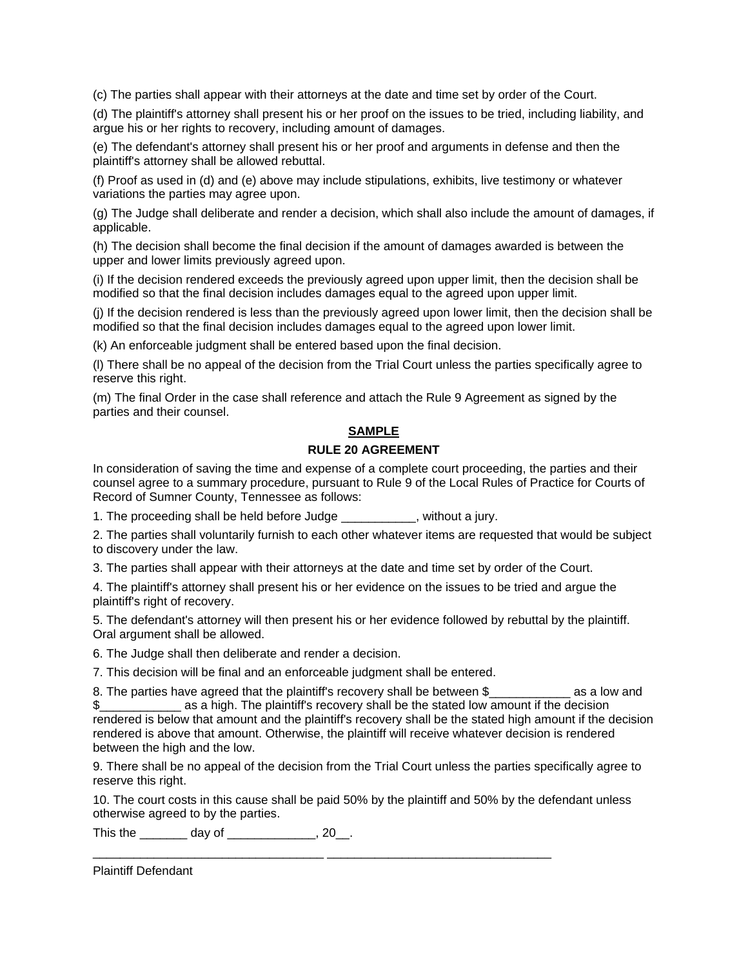(c) The parties shall appear with their attorneys at the date and time set by order of the Court.

(d) The plaintiff's attorney shall present his or her proof on the issues to be tried, including liability, and argue his or her rights to recovery, including amount of damages.

(e) The defendant's attorney shall present his or her proof and arguments in defense and then the plaintiff's attorney shall be allowed rebuttal.

(f) Proof as used in (d) and (e) above may include stipulations, exhibits, live testimony or whatever variations the parties may agree upon.

(g) The Judge shall deliberate and render a decision, which shall also include the amount of damages, if applicable.

(h) The decision shall become the final decision if the amount of damages awarded is between the upper and lower limits previously agreed upon.

(i) If the decision rendered exceeds the previously agreed upon upper limit, then the decision shall be modified so that the final decision includes damages equal to the agreed upon upper limit.

(j) If the decision rendered is less than the previously agreed upon lower limit, then the decision shall be modified so that the final decision includes damages equal to the agreed upon lower limit.

(k) An enforceable judgment shall be entered based upon the final decision.

(l) There shall be no appeal of the decision from the Trial Court unless the parties specifically agree to reserve this right.

(m) The final Order in the case shall reference and attach the Rule 9 Agreement as signed by the parties and their counsel.

### **SAMPLE**

### **RULE 20 AGREEMENT**

In consideration of saving the time and expense of a complete court proceeding, the parties and their counsel agree to a summary procedure, pursuant to Rule 9 of the Local Rules of Practice for Courts of Record of Sumner County, Tennessee as follows:

1. The proceeding shall be held before Judge \_\_\_\_\_\_\_\_\_\_\_, without a jury.

2. The parties shall voluntarily furnish to each other whatever items are requested that would be subject to discovery under the law.

3. The parties shall appear with their attorneys at the date and time set by order of the Court.

4. The plaintiff's attorney shall present his or her evidence on the issues to be tried and argue the plaintiff's right of recovery.

5. The defendant's attorney will then present his or her evidence followed by rebuttal by the plaintiff. Oral argument shall be allowed.

6. The Judge shall then deliberate and render a decision.

7. This decision will be final and an enforceable judgment shall be entered.

8. The parties have agreed that the plaintiff's recovery shall be between \$\_\_\_\_\_\_\_\_\_\_\_\_\_ as a low and as a high. The plaintiff's recovery shall be the stated low amount if the decision rendered is below that amount and the plaintiff's recovery shall be the stated high amount if the decision rendered is above that amount. Otherwise, the plaintiff will receive whatever decision is rendered between the high and the low.

9. There shall be no appeal of the decision from the Trial Court unless the parties specifically agree to reserve this right.

10. The court costs in this cause shall be paid 50% by the plaintiff and 50% by the defendant unless otherwise agreed to by the parties.

\_\_\_\_\_\_\_\_\_\_\_\_\_\_\_\_\_\_\_\_\_\_\_\_\_\_\_\_\_\_\_\_\_\_ \_\_\_\_\_\_\_\_\_\_\_\_\_\_\_\_\_\_\_\_\_\_\_\_\_\_\_\_\_\_\_\_\_

This the \_\_\_\_\_\_\_ day of \_\_\_\_\_\_\_\_\_\_\_\_\_, 20\_\_.

Plaintiff Defendant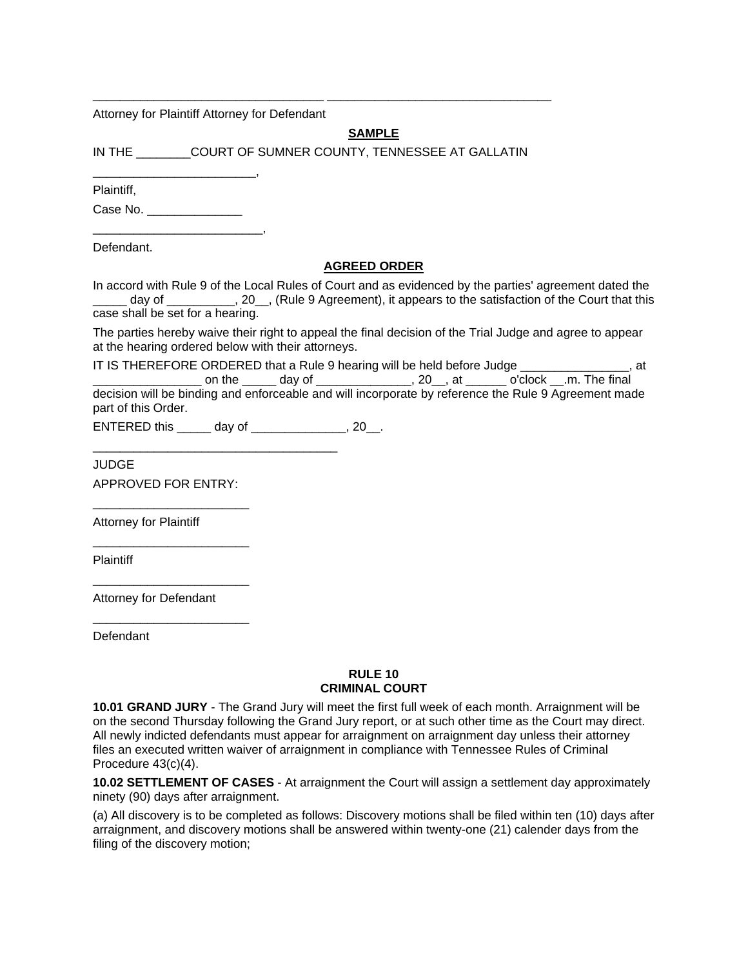Attorney for Plaintiff Attorney for Defendant

# **SAMPLE**

IN THE \_\_\_\_\_\_\_\_COURT OF SUMNER COUNTY, TENNESSEE AT GALLATIN

\_\_\_\_\_\_\_\_\_\_\_\_\_\_\_\_\_\_\_\_\_\_\_\_\_\_\_\_\_\_\_\_\_\_ \_\_\_\_\_\_\_\_\_\_\_\_\_\_\_\_\_\_\_\_\_\_\_\_\_\_\_\_\_\_\_\_\_

Plaintiff,

Case No.

\_\_\_\_\_\_\_\_\_\_\_\_\_\_\_\_\_\_\_\_\_\_\_\_\_,

\_\_\_\_\_\_\_\_\_\_\_\_\_\_\_\_\_\_\_\_\_\_\_\_,

Defendant.

### **AGREED ORDER**

In accord with Rule 9 of the Local Rules of Court and as evidenced by the parties' agreement dated the day of \_\_\_\_\_\_\_\_\_, 20\_, (Rule 9 Agreement), it appears to the satisfaction of the Court that this case shall be set for a hearing.

The parties hereby waive their right to appeal the final decision of the Trial Judge and agree to appear at the hearing ordered below with their attorneys.

|                     |  | IT IS THEREFORE ORDERED that a Rule 9 hearing will be held before Judge                              |  | at |
|---------------------|--|------------------------------------------------------------------------------------------------------|--|----|
|                     |  | on the day of the control on the day of the control on the final                                     |  |    |
| part of this Order. |  | decision will be binding and enforceable and will incorporate by reference the Rule 9 Agreement made |  |    |

ENTERED this \_\_\_\_\_ day of \_\_\_\_\_\_\_\_\_\_\_\_\_\_, 20\_\_.

\_\_\_\_\_\_\_\_\_\_\_\_\_\_\_\_\_\_\_\_\_\_\_\_\_\_\_\_\_\_\_\_\_\_\_\_

JUDGE APPROVED FOR ENTRY:

\_\_\_\_\_\_\_\_\_\_\_\_\_\_\_\_\_\_\_\_\_\_\_

\_\_\_\_\_\_\_\_\_\_\_\_\_\_\_\_\_\_\_\_\_\_\_

\_\_\_\_\_\_\_\_\_\_\_\_\_\_\_\_\_\_\_\_\_\_\_

\_\_\_\_\_\_\_\_\_\_\_\_\_\_\_\_\_\_\_\_\_\_\_

Attorney for Plaintiff

Plaintiff

Attorney for Defendant

**Defendant** 

### **RULE 10 CRIMINAL COURT**

**10.01 GRAND JURY** - The Grand Jury will meet the first full week of each month. Arraignment will be on the second Thursday following the Grand Jury report, or at such other time as the Court may direct. All newly indicted defendants must appear for arraignment on arraignment day unless their attorney files an executed written waiver of arraignment in compliance with Tennessee Rules of Criminal Procedure 43(c)(4).

**10.02 SETTLEMENT OF CASES** - At arraignment the Court will assign a settlement day approximately ninety (90) days after arraignment.

(a) All discovery is to be completed as follows: Discovery motions shall be filed within ten (10) days after arraignment, and discovery motions shall be answered within twenty-one (21) calender days from the filing of the discovery motion;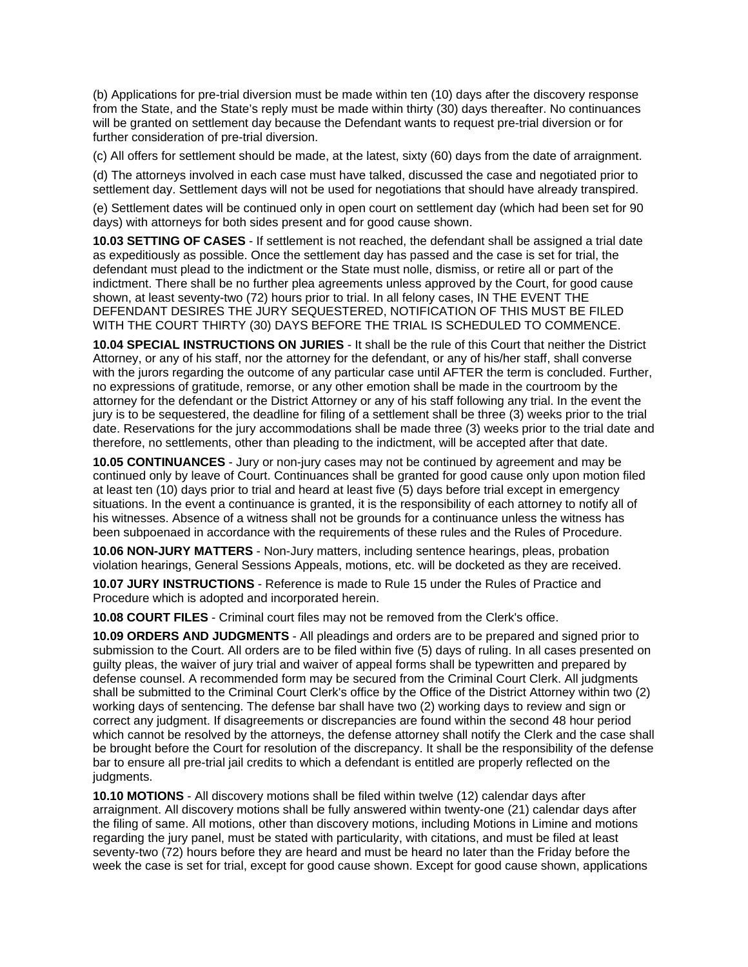(b) Applications for pre-trial diversion must be made within ten (10) days after the discovery response from the State, and the State's reply must be made within thirty (30) days thereafter. No continuances will be granted on settlement day because the Defendant wants to request pre-trial diversion or for further consideration of pre-trial diversion.

(c) All offers for settlement should be made, at the latest, sixty (60) days from the date of arraignment.

(d) The attorneys involved in each case must have talked, discussed the case and negotiated prior to settlement day. Settlement days will not be used for negotiations that should have already transpired.

(e) Settlement dates will be continued only in open court on settlement day (which had been set for 90 days) with attorneys for both sides present and for good cause shown.

**10.03 SETTING OF CASES** - If settlement is not reached, the defendant shall be assigned a trial date as expeditiously as possible. Once the settlement day has passed and the case is set for trial, the defendant must plead to the indictment or the State must nolle, dismiss, or retire all or part of the indictment. There shall be no further plea agreements unless approved by the Court, for good cause shown, at least seventy-two (72) hours prior to trial. In all felony cases, IN THE EVENT THE DEFENDANT DESIRES THE JURY SEQUESTERED, NOTIFICATION OF THIS MUST BE FILED WITH THE COURT THIRTY (30) DAYS BEFORE THE TRIAL IS SCHEDULED TO COMMENCE.

**10.04 SPECIAL INSTRUCTIONS ON JURIES** - It shall be the rule of this Court that neither the District Attorney, or any of his staff, nor the attorney for the defendant, or any of his/her staff, shall converse with the jurors regarding the outcome of any particular case until AFTER the term is concluded. Further, no expressions of gratitude, remorse, or any other emotion shall be made in the courtroom by the attorney for the defendant or the District Attorney or any of his staff following any trial. In the event the jury is to be sequestered, the deadline for filing of a settlement shall be three (3) weeks prior to the trial date. Reservations for the jury accommodations shall be made three (3) weeks prior to the trial date and therefore, no settlements, other than pleading to the indictment, will be accepted after that date.

**10.05 CONTINUANCES** - Jury or non-jury cases may not be continued by agreement and may be continued only by leave of Court. Continuances shall be granted for good cause only upon motion filed at least ten (10) days prior to trial and heard at least five (5) days before trial except in emergency situations. In the event a continuance is granted, it is the responsibility of each attorney to notify all of his witnesses. Absence of a witness shall not be grounds for a continuance unless the witness has been subpoenaed in accordance with the requirements of these rules and the Rules of Procedure.

**10.06 NON-JURY MATTERS** - Non-Jury matters, including sentence hearings, pleas, probation violation hearings, General Sessions Appeals, motions, etc. will be docketed as they are received.

**10.07 JURY INSTRUCTIONS** - Reference is made to Rule 15 under the Rules of Practice and Procedure which is adopted and incorporated herein.

**10.08 COURT FILES** - Criminal court files may not be removed from the Clerk's office.

**10.09 ORDERS AND JUDGMENTS** - All pleadings and orders are to be prepared and signed prior to submission to the Court. All orders are to be filed within five (5) days of ruling. In all cases presented on guilty pleas, the waiver of jury trial and waiver of appeal forms shall be typewritten and prepared by defense counsel. A recommended form may be secured from the Criminal Court Clerk. All judgments shall be submitted to the Criminal Court Clerk's office by the Office of the District Attorney within two (2) working days of sentencing. The defense bar shall have two (2) working days to review and sign or correct any judgment. If disagreements or discrepancies are found within the second 48 hour period which cannot be resolved by the attorneys, the defense attorney shall notify the Clerk and the case shall be brought before the Court for resolution of the discrepancy. It shall be the responsibility of the defense bar to ensure all pre-trial jail credits to which a defendant is entitled are properly reflected on the judgments.

**10.10 MOTIONS** - All discovery motions shall be filed within twelve (12) calendar days after arraignment. All discovery motions shall be fully answered within twenty-one (21) calendar days after the filing of same. All motions, other than discovery motions, including Motions in Limine and motions regarding the jury panel, must be stated with particularity, with citations, and must be filed at least seventy-two (72) hours before they are heard and must be heard no later than the Friday before the week the case is set for trial, except for good cause shown. Except for good cause shown, applications